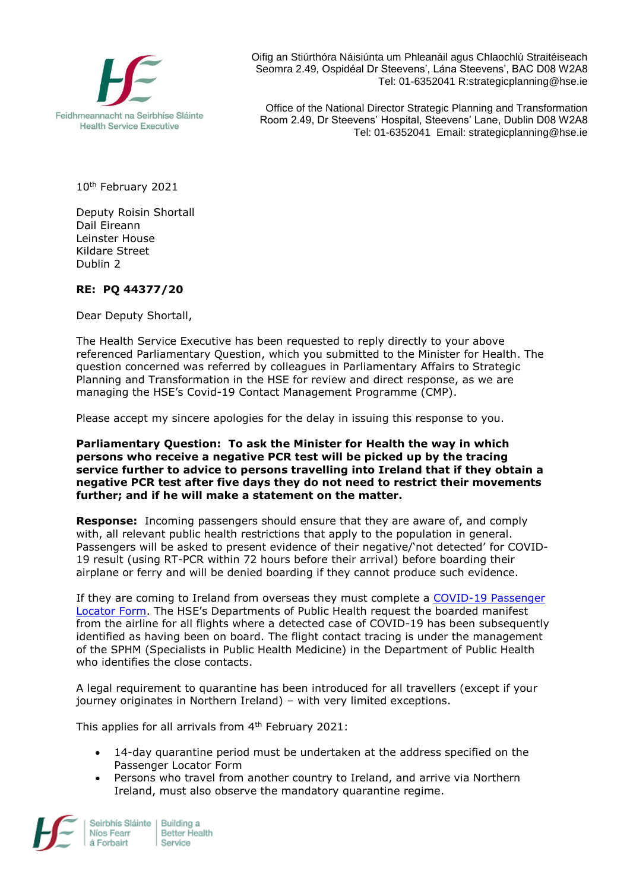

Oifig an Stiúrthóra Náisiúnta um Phleanáil agus Chlaochlú Straitéiseach Seomra 2.49, Ospidéal Dr Steevens', Lána Steevens', BAC D08 W2A8 Tel: 01-6352041 R:strategicplanning@hse.ie

Office of the National Director Strategic Planning and Transformation Room 2.49, Dr Steevens' Hospital, Steevens' Lane, Dublin D08 W2A8 Tel: 01-6352041 Email: strategicplanning@hse.ie

10th February 2021

Deputy Roisin Shortall Dail Eireann Leinster House Kildare Street Dublin 2

## **RE: PQ 44377/20**

Dear Deputy Shortall,

The Health Service Executive has been requested to reply directly to your above referenced Parliamentary Question, which you submitted to the Minister for Health. The question concerned was referred by colleagues in Parliamentary Affairs to Strategic Planning and Transformation in the HSE for review and direct response, as we are managing the HSE's Covid-19 Contact Management Programme (CMP).

Please accept my sincere apologies for the delay in issuing this response to you.

**Parliamentary Question: To ask the Minister for Health the way in which persons who receive a negative PCR test will be picked up by the tracing service further to advice to persons travelling into Ireland that if they obtain a negative PCR test after five days they do not need to restrict their movements further; and if he will make a statement on the matter.** 

**Response:** Incoming passengers should ensure that they are aware of, and comply with, all relevant public health restrictions that apply to the population in general. Passengers will be asked to present evidence of their negative/'not detected' for COVID-19 result (using RT-PCR within 72 hours before their arrival) before boarding their airplane or ferry and will be denied boarding if they cannot produce such evidence.

If they are coming to Ireland from overseas they must complete a [COVID-19 Passenger](https://www.gov.ie/en/publication/ab900-covid-19-passenger-locator-form/)  [Locator Form.](https://www.gov.ie/en/publication/ab900-covid-19-passenger-locator-form/) The HSE's Departments of Public Health request the boarded manifest from the airline for all flights where a detected case of COVID-19 has been subsequently identified as having been on board. The flight contact tracing is under the management of the SPHM (Specialists in Public Health Medicine) in the Department of Public Health who identifies the close contacts.

A legal requirement to quarantine has been introduced for all travellers (except if your journey originates in Northern Ireland) – with very limited exceptions.

This applies for all arrivals from 4<sup>th</sup> February 2021:

- 14-day quarantine period must be undertaken at the address specified on the Passenger Locator Form
- Persons who travel from another country to Ireland, and arrive via Northern Ireland, must also observe the mandatory quarantine regime.